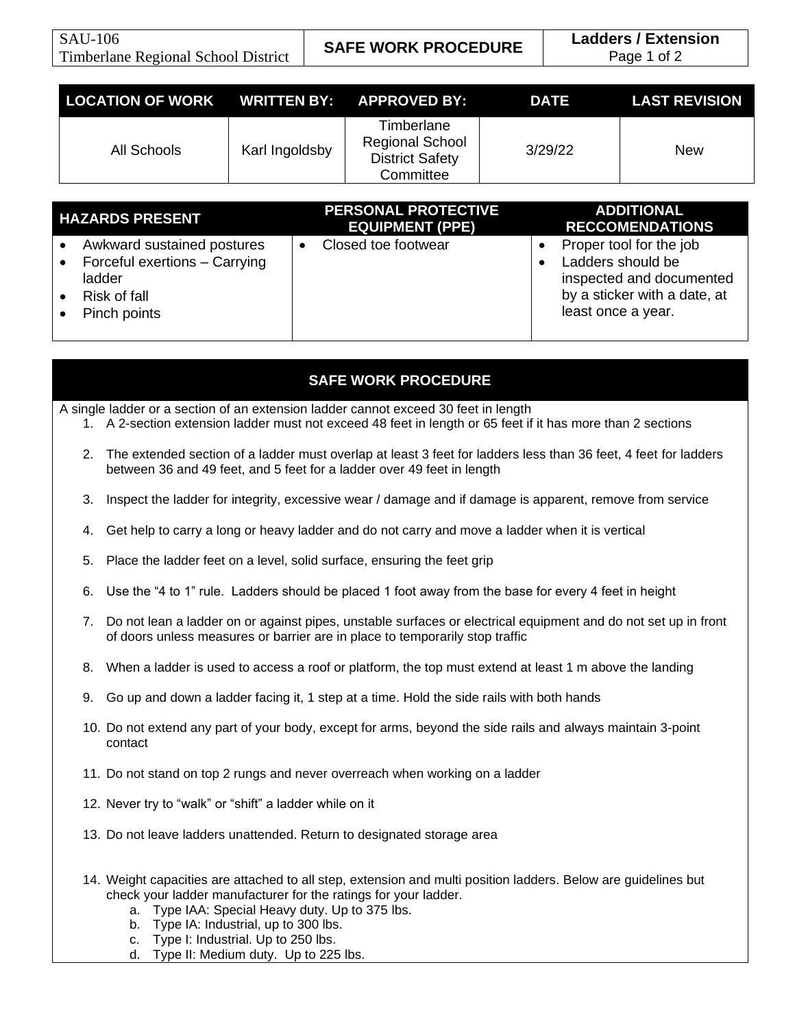| LOCATION OF WORK WRITTEN BY: APPROVED BY: |                |                                                                             | <b>DATE</b> | <b>LAST REVISION</b> |
|-------------------------------------------|----------------|-----------------------------------------------------------------------------|-------------|----------------------|
| All Schools                               | Karl Ingoldsby | Timberlane<br><b>Regional School</b><br><b>District Safety</b><br>Committee | 3/29/22     | <b>New</b>           |
|                                           |                |                                                                             |             |                      |

| <b>HAZARDS PRESENT</b>                                                                                | <b>PERSONAL PROTECTIVE</b><br><b>EQUIPMENT (PPE)</b> | <b>ADDITIONAL</b><br><b>RECCOMENDATIONS</b>                                                                                    |
|-------------------------------------------------------------------------------------------------------|------------------------------------------------------|--------------------------------------------------------------------------------------------------------------------------------|
| Awkward sustained postures<br>Forceful exertions - Carrying<br>ladder<br>Risk of fall<br>Pinch points | Closed toe footwear                                  | Proper tool for the job<br>Ladders should be<br>inspected and documented<br>by a sticker with a date, at<br>least once a year. |

## **SAFE WORK PROCEDURE**

A single ladder or a section of an extension ladder cannot exceed 30 feet in length

- 1. A 2-section extension ladder must not exceed 48 feet in length or 65 feet if it has more than 2 sections
- 2. The extended section of a ladder must overlap at least 3 feet for ladders less than 36 feet, 4 feet for ladders between 36 and 49 feet, and 5 feet for a ladder over 49 feet in length
- 3. Inspect the ladder for integrity, excessive wear / damage and if damage is apparent, remove from service
- 4. Get help to carry a long or heavy ladder and do not carry and move a ladder when it is vertical
- 5. Place the ladder feet on a level, solid surface, ensuring the feet grip
- 6. Use the "4 to 1" rule. Ladders should be placed 1 foot away from the base for every 4 feet in height
- 7. Do not lean a ladder on or against pipes, unstable surfaces or electrical equipment and do not set up in front of doors unless measures or barrier are in place to temporarily stop traffic
- 8. When a ladder is used to access a roof or platform, the top must extend at least 1 m above the landing
- 9. Go up and down a ladder facing it, 1 step at a time. Hold the side rails with both hands
- 10. Do not extend any part of your body, except for arms, beyond the side rails and always maintain 3-point contact
- 11. Do not stand on top 2 rungs and never overreach when working on a ladder
- 12. Never try to "walk" or "shift" a ladder while on it
- 13. Do not leave ladders unattended. Return to designated storage area
- 14. Weight capacities are attached to all step, extension and multi position ladders. Below are guidelines but check your ladder manufacturer for the ratings for your ladder.
	- a. Type IAA: Special Heavy duty. Up to 375 lbs.
	- b. Type IA: Industrial, up to 300 lbs.
	- c. Type I: Industrial. Up to 250 lbs.
	- d. Type II: Medium duty. Up to 225 lbs.